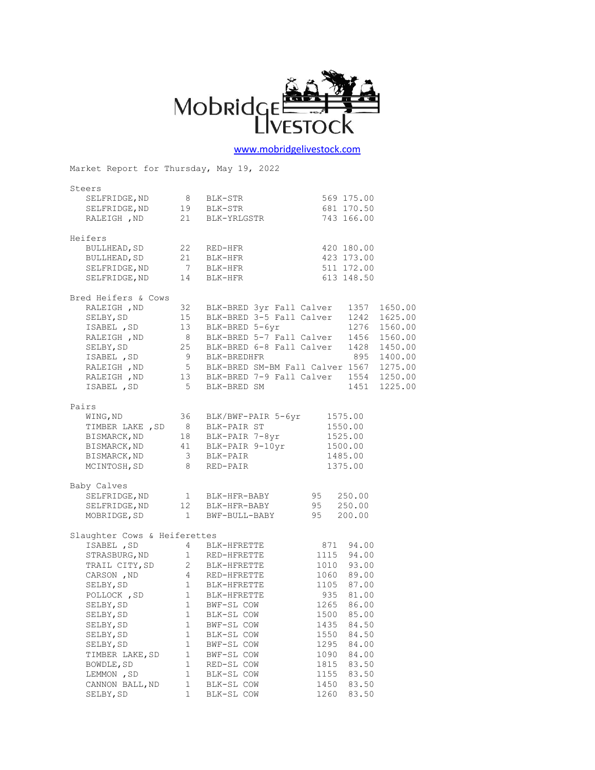

## [www.mobridgelivestock.com](http://www.mobridgelivestock.com/)

Market Report for Thursday, May 19, 2022 Steers SELFRIDGE, ND 8 BLK-STR 569 175.00 SELFRIDGE, ND 19 BLK-STR 681 170.50 RALEIGH, ND 21 BLK-YRLGSTR 743 166.00 Heifers BULLHEAD, SD 22 RED-HFR 420 180.00 BULLHEAD,SD 21 BLK-HFR 423 173.00 SELFRIDGE, ND 7 BLK-HFR 511 172.00 SELFRIDGE, ND 14 BLK-HFR 613 148.50 Bred Heifers & Cows<br>RALEIGH , ND 32 BLK-BRED 3yr Fall Calver 1357 1650.00 RALEIGH ,ND 32 BLK-BRED 3yr Fall Calver 1357 1650.00 SELBY,SD 15 BLK-BRED 3-5 Fall Calver 1242 1625.00 ISABEL ,SD 13 BLK-BRED 5-6yr 1276 1560.00 RALEIGH , ND 8 BLK-BRED 5-7 Fall Calver 1456 1560.00 SELBY,SD 25 BLK-BRED 6-8 Fall Calver 1428 1450.00 ISABEL ,SD 9 BLK-BREDHFR 895 1400.00 RALEIGH , ND 5 BLK-BRED SM-BM Fall Calver 1567 1275.00 RALEIGH ,ND 13 BLK-BRED 7-9 Fall Calver 1554 1250.00 ISABEL ,SD 5 BLK-BRED SM 1451 1225.00 Pairs WING,ND 36 BLK/BWF-PAIR 5-6yr 1575.00 TIMBER LAKE, SD 8 BLK-PAIR ST 1550.00 BISMARCK, ND 18 BLK-PAIR 7-8yr 1525.00 BISMARCK, ND 41 BLK-PAIR 9-10yr 1500.00 BISMARCK, ND 3 BLK-PAIR 1485.00 MCINTOSH, SD 8 RED-PAIR 1375.00 Baby Calves SELFRIDGE, ND 1 BLK-HFR-BABY 95 250.00 SELFRIDGE, ND 12 BLK-HFR-BABY 95 250.00 MOBRIDGE, SD 1 BWF-BULL-BABY 95 200.00 Slaughter Cows & Heiferettes  $\begin{tabular}{lcccc} ISABEL & , SD & & 4 & BLK-HFRETTE & 871 & 94.00 \\ STRASBURG, ND & 1 & RED-HFRETTE & 1115 & 94.00 \\ TRAIL CITY, SD & 2 & BLK-HFRETTE & 1010 & 93.00 \\ CARSON & , ND & 4 & RED-HFRETTE & 1060 & 89.00 \\ SELBY, SD & 1 & BLK-HFRETTE & 1105 & 87.00 \\ SELBY & 1 & BLK-HFRTTE & 1105 & 87.00 \\ \end{tabular}$ STRASBURG, ND 1 RED-HFRETTE 1115 94.00 TRAIL CITY, SD 2 BLK-HFRETTE 1010 93.00 CARSON, ND 4 RED-HFRETTE 1060 89.00 SELBY, SD 1 BLK-HFRETTE 1105 87.00 POLLOCK, SD 1 BLK-HFRETTE 935 81.00 SELBY, SD 1 BWF-SL COW 1265 86.00 SELBY, SD 1 BLK-SL COW 1500 85.00 SELBY, SD 1 BWF-SL COW 1435 84.50 SELBY, SD 1 BLK-SL COW 1550 84.50 SELBY, SD 1 BWF-SL COW 1295 84.00 TIMBER LAKE, SD 1 BWF-SL COW 1090 84.00 BOWDLE, SD 1 RED-SL COW 1815 83.50 LEMMON, SD 1 BLK-SL COW 1155 83.50 CANNON BALL, ND 1 BLK-SL COW 1450 83.50 SELBY, SD 1 BLK-SL COW 1260 83.50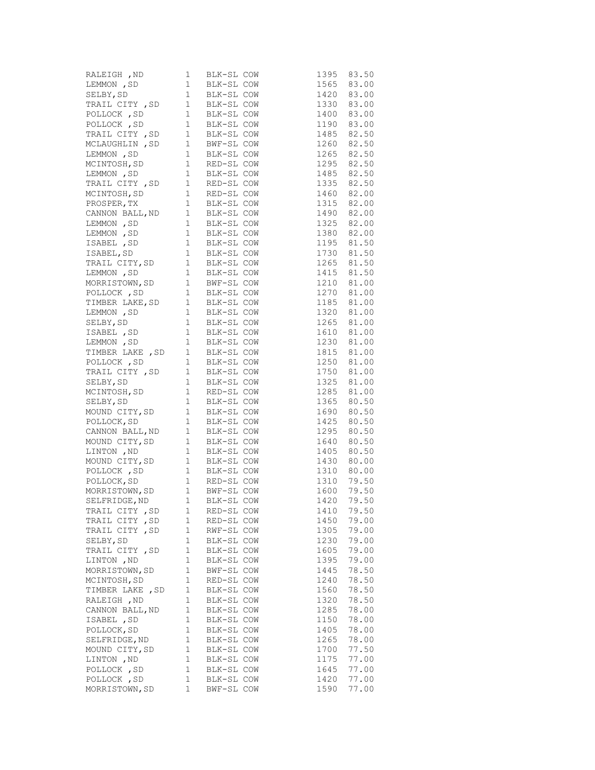| RALEIGH, ND<br>LEMMON, SD<br>1 BLK-SL COW<br>SELBY, SD<br>1 BLK-SL COW<br>TRAIL CITY, SD<br>1 BLK-SL COW<br>POLLOCK, SD<br>1 BLK-SL COW<br>POLLOCK, SD<br>1 BLK-SL COW<br>POLLOCK, SD<br>1 BLK-SL COW<br>POLLOCK, SD<br>1 BLK-SL COW<br>POLLOCK, SD<br>1 BLK-S |              |            |              | 1395                         | 83.50 |
|----------------------------------------------------------------------------------------------------------------------------------------------------------------------------------------------------------------------------------------------------------------|--------------|------------|--------------|------------------------------|-------|
|                                                                                                                                                                                                                                                                |              |            |              | 1565 83.00                   |       |
|                                                                                                                                                                                                                                                                |              |            |              | 1420 83.00                   |       |
|                                                                                                                                                                                                                                                                |              |            |              |                              |       |
|                                                                                                                                                                                                                                                                |              |            |              | 1330 83.00<br>1400 83.00     |       |
|                                                                                                                                                                                                                                                                |              |            |              | 1190 83.00                   |       |
| TRAIL CITY , SD    1  BLK-SL COW<br>MCLAUGHLIN , SD    1  BWF-SL COW<br>LEMMON , SD    1  BLK-SL COW                                                                                                                                                           |              |            |              | 1485 82.50                   |       |
|                                                                                                                                                                                                                                                                |              |            |              | 1260 82.50                   |       |
|                                                                                                                                                                                                                                                                |              |            |              | 1265 82.50                   |       |
| MCINTOSH, SD 1 RED-SL COW                                                                                                                                                                                                                                      |              |            |              | 1295 82.50                   |       |
|                                                                                                                                                                                                                                                                |              |            |              | 1485 82.50                   |       |
| LEMMON, SD 1 BLK-SL COW<br>TRAIL CITY, SD 1 RED-SL COW                                                                                                                                                                                                         |              |            |              | 1335 82.50                   |       |
| TRAIL CITY , SD 1 RED-SL COW<br>MCINTOSH, SD 1 RED-SL COW<br>PROSPER, TX 1 BLK-SL COW<br>CANNON BALL, ND 1 BLK-SL COW<br>LEMMON , SD 1 BLK-SL COW<br>LEMMON , SD 1 BLK-SL COW<br>ISABEL , SD 1 BLK-SL COW<br>ISABEL, SD 1 BLK-SL COW<br>TRAIL                  |              |            |              | 1460 82.00                   |       |
|                                                                                                                                                                                                                                                                |              |            |              |                              |       |
|                                                                                                                                                                                                                                                                |              |            |              | 1315 82.00<br>1490 82.00     |       |
|                                                                                                                                                                                                                                                                |              |            |              | 1325 82.00                   |       |
|                                                                                                                                                                                                                                                                |              |            |              |                              |       |
|                                                                                                                                                                                                                                                                |              |            |              | $1380$ $82.00$<br>1195 81.50 |       |
|                                                                                                                                                                                                                                                                |              |            |              | 1730 81.50                   |       |
|                                                                                                                                                                                                                                                                |              |            |              |                              |       |
|                                                                                                                                                                                                                                                                |              |            |              | 1265 81.50                   |       |
|                                                                                                                                                                                                                                                                |              |            |              | 1415 81.50<br>1210 81.00     |       |
|                                                                                                                                                                                                                                                                |              |            |              |                              |       |
| POLLOCK, SD 1 BLK-SL COW                                                                                                                                                                                                                                       |              |            |              | 1270 81.00                   |       |
|                                                                                                                                                                                                                                                                |              |            |              | 1185 81.00<br>1320 81.00     |       |
|                                                                                                                                                                                                                                                                |              |            |              |                              |       |
|                                                                                                                                                                                                                                                                |              |            |              | 1265 81.00                   |       |
|                                                                                                                                                                                                                                                                |              |            |              | 1610 81.00                   |       |
| POLLOCK, SD 1 BLK-SL COW<br>IEMMON, SD 1 BLK-SL COW<br>LEMMON, SD 1 BLK-SL COW<br>SELBY, SD 1 BLK-SL COW<br>ISABEL, SD 1 BLK-SL COW<br>LEMMON, SD 1 BLK-SL COW<br>TIMBER LAKE, SD 1 BLK-SL COW<br>POLLOCK, SD 1 BLK-SL COW<br>SELBY, SD 1 BLK-                 |              |            |              | 1230 81.00                   |       |
|                                                                                                                                                                                                                                                                |              |            |              | 1815 81.00                   |       |
|                                                                                                                                                                                                                                                                |              |            |              | 1250 81.00                   |       |
|                                                                                                                                                                                                                                                                |              |            |              | 1750 81.00                   |       |
|                                                                                                                                                                                                                                                                |              |            |              | 1325 81.00                   |       |
|                                                                                                                                                                                                                                                                |              |            |              | 1285 81.00                   |       |
|                                                                                                                                                                                                                                                                |              |            |              | 1365 80.50<br>1690 80.50     |       |
|                                                                                                                                                                                                                                                                |              |            |              |                              |       |
| POLLOCK, SD                                                                                                                                                                                                                                                    |              |            | 1 BLK-SL COW | 1425 80.50                   |       |
| CANNON BALL, ND<br>CANNON BALL, ND<br>1 BLK-SL COW<br>MOUND CITY, SD<br>1 BLK-SL COW<br>LINTON , ND<br>1 BLK-SL COW<br>MOUND CITY, SD<br>1 BLK-SL COW<br>POLLOCK, SD<br>1 RED-SL COW<br>MORRISTOWN, SD<br>1 BWF-SL COW<br>SELFRIDGE, ND<br>1 BLK-SL COW<br>S   |              |            |              | 1295 80.50                   |       |
|                                                                                                                                                                                                                                                                |              |            |              | 1640 80.50                   |       |
|                                                                                                                                                                                                                                                                |              |            |              | 1405 80.50                   |       |
|                                                                                                                                                                                                                                                                |              |            |              | 1430 80.00                   |       |
|                                                                                                                                                                                                                                                                |              |            |              | 1310 80.00                   |       |
|                                                                                                                                                                                                                                                                |              |            |              | 1310 79.50                   |       |
|                                                                                                                                                                                                                                                                |              |            |              | 1600 79.50                   |       |
|                                                                                                                                                                                                                                                                |              |            |              | 1420                         | 79.50 |
| TRAIL CITY , SD                                                                                                                                                                                                                                                | 1            | RED-SL COW |              | 1410                         | 79.50 |
| TRAIL CITY, SD                                                                                                                                                                                                                                                 | 1            | RED-SL COW |              | 1450                         | 79.00 |
| TRAIL CITY, SD                                                                                                                                                                                                                                                 | 1            | RWF-SL COW |              | 1305                         | 79.00 |
| SELBY, SD                                                                                                                                                                                                                                                      | 1            | BLK-SL COW |              | 1230                         | 79.00 |
| TRAIL CITY , SD                                                                                                                                                                                                                                                | $1\,$        | BLK-SL COW |              | 1605                         | 79.00 |
| LINTON , ND                                                                                                                                                                                                                                                    | 1            | BLK-SL COW |              | 1395                         | 79.00 |
| MORRISTOWN, SD                                                                                                                                                                                                                                                 | 1            | BWF-SL COW |              | 1445                         | 78.50 |
| MCINTOSH, SD                                                                                                                                                                                                                                                   | $1\,$        | RED-SL COW |              | 1240                         | 78.50 |
| TIMBER LAKE, SD                                                                                                                                                                                                                                                | 1            | BLK-SL COW |              | 1560                         | 78.50 |
| RALEIGH , ND                                                                                                                                                                                                                                                   | $\mathbf{1}$ | BLK-SL COW |              | 1320                         | 78.50 |
| CANNON BALL, ND                                                                                                                                                                                                                                                | $\mathbf 1$  | BLK-SL COW |              | 1285                         | 78.00 |
| ISABEL , SD                                                                                                                                                                                                                                                    | 1            | BLK-SL COW |              | 1150                         | 78.00 |
| POLLOCK, SD                                                                                                                                                                                                                                                    | $\mathbf{1}$ | BLK-SL COW |              | 1405                         | 78.00 |
| SELFRIDGE, ND                                                                                                                                                                                                                                                  | 1            | BLK-SL COW |              | 1265                         | 78.00 |
| MOUND CITY, SD                                                                                                                                                                                                                                                 | 1            | BLK-SL COW |              | 1700                         | 77.50 |
| LINTON , ND                                                                                                                                                                                                                                                    | 1            | BLK-SL COW |              | 1175                         | 77.00 |
| POLLOCK, SD                                                                                                                                                                                                                                                    | $\mathbf{1}$ | BLK-SL COW |              | 1645                         | 77.00 |
| POLLOCK, SD                                                                                                                                                                                                                                                    | 1            | BLK-SL COW |              | 1420                         | 77.00 |
| MORRISTOWN, SD                                                                                                                                                                                                                                                 | $\mathbf 1$  | BWF-SL COW |              | 1590                         | 77.00 |
|                                                                                                                                                                                                                                                                |              |            |              |                              |       |